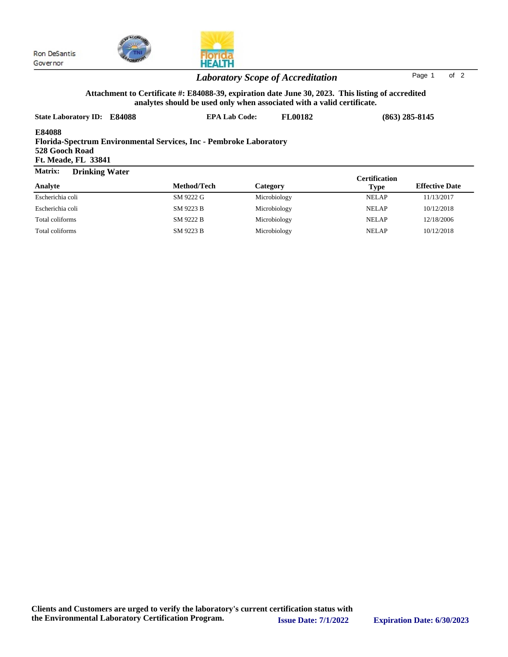



HEALTH

|                  |             |              | Ceruncauon   |                       |
|------------------|-------------|--------------|--------------|-----------------------|
| Analyte          | Method/Tech | Category     | Type         | <b>Effective Date</b> |
| Escherichia coli | SM 9222 G   | Microbiology | <b>NELAP</b> | 11/13/2017            |
| Escherichia coli | SM 9223 B   | Microbiology | <b>NELAP</b> | 10/12/2018            |
| Total coliforms  | SM 9222 B   | Microbiology | <b>NELAP</b> | 12/18/2006            |
| Total coliforms  | SM 9223 B   | Microbiology | <b>NELAP</b> | 10/12/2018            |